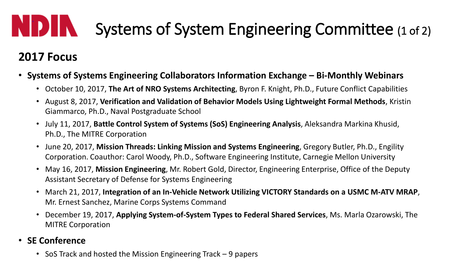## NDIN Systems of System Engineering Committee (1 of 2)

## **2017 Focus**

- **Systems of Systems Engineering Collaborators Information Exchange – Bi-Monthly Webinars**
	- October 10, 2017, **The Art of NRO Systems Architecting**, Byron F. Knight, Ph.D., Future Conflict Capabilities
	- August 8, 2017, **Verification and Validation of Behavior Models Using Lightweight Formal Methods**, Kristin Giammarco, Ph.D., Naval Postgraduate School
	- July 11, 2017, **Battle Control System of Systems (SoS) Engineering Analysis**, Aleksandra Markina Khusid, Ph.D., The MITRE Corporation
	- June 20, 2017, **Mission Threads: Linking Mission and Systems Engineering**, Gregory Butler, Ph.D., Engility Corporation. Coauthor: Carol Woody, Ph.D., Software Engineering Institute, Carnegie Mellon University
	- May 16, 2017, **Mission Engineering**, Mr. Robert Gold, Director, Engineering Enterprise, Office of the Deputy Assistant Secretary of Defense for Systems Engineering
	- March 21, 2017, **Integration of an In-Vehicle Network Utilizing VICTORY Standards on a USMC M-ATV MRAP**, Mr. Ernest Sanchez, Marine Corps Systems Command
	- December 19, 2017, **Applying System-of-System Types to Federal Shared Services**, Ms. Marla Ozarowski, The MITRE Corporation
- **SE Conference**
	- SoS Track and hosted the Mission Engineering Track 9 papers